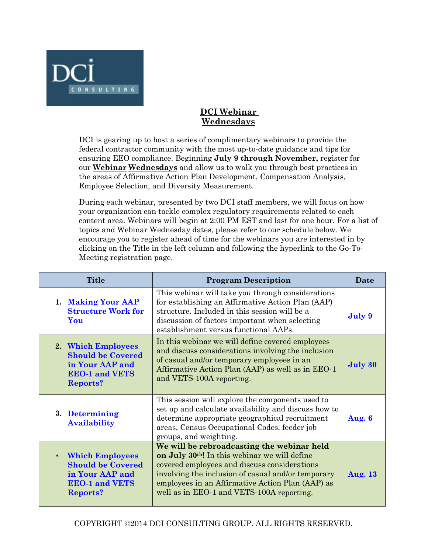

## **DCI Webinar Wednesdays**

DCI is gearing up to host a series of complimentary webinars to provide the federal contractor community with the most up-to-date guidance and tips for ensuring EEO compliance. Beginning **July 9 through November,** register for our **Webinar Wednesdays** and allow us to walk you through best practices in the areas of Affirmative Action Plan Development, Compensation Analysis, Employee Selection, and Diversity Measurement.

During each webinar, presented by two DCI staff members, we will focus on how your organization can tackle complex regulatory requirements related to each content area. Webinars will begin at 2:00 PM EST and last for one hour. For a list of topics and Webinar Wednesday dates, please refer to our schedule below. We encourage you to register ahead of time for the webinars you are interested in by clicking on the Title in the left column and following the hyperlink to the Go-To-Meeting registration page.

| <b>Title</b>                                                                                                             | <b>Program Description</b>                                                                                                                                                                                                                                                                                     | Date           |
|--------------------------------------------------------------------------------------------------------------------------|----------------------------------------------------------------------------------------------------------------------------------------------------------------------------------------------------------------------------------------------------------------------------------------------------------------|----------------|
| 1. Making Your AAP<br><b>Structure Work for</b><br>You                                                                   | This webinar will take you through considerations<br>for establishing an Affirmative Action Plan (AAP)<br>structure. Included in this session will be a<br>discussion of factors important when selecting<br>establishment versus functional AAPs.                                                             | July 9         |
| 2. Which Employees<br><b>Should be Covered</b><br>in Your AAP and<br><b>EEO-1 and VETS</b><br><b>Reports?</b>            | In this webinar we will define covered employees<br>and discuss considerations involving the inclusion<br>of casual and/or temporary employees in an<br>Affirmative Action Plan (AAP) as well as in EEO-1<br>and VETS-100A reporting.                                                                          | July 30        |
| 3. Determining<br><b>Availability</b>                                                                                    | This session will explore the components used to<br>set up and calculate availability and discuss how to<br>determine appropriate geographical recruitment<br>areas, Census Occupational Codes, feeder job<br>groups, and weighting.                                                                           | Aug. 6         |
| <b>Which Employees</b><br>$*$<br><b>Should be Covered</b><br>in Your AAP and<br><b>EEO-1 and VETS</b><br><b>Reports?</b> | We will be rebroadcasting the webinar held<br>on July 30 <sup>th</sup> ! In this webinar we will define<br>covered employees and discuss considerations<br>involving the inclusion of casual and/or temporary<br>employees in an Affirmative Action Plan (AAP) as<br>well as in EEO-1 and VETS-100A reporting. | <b>Aug. 13</b> |